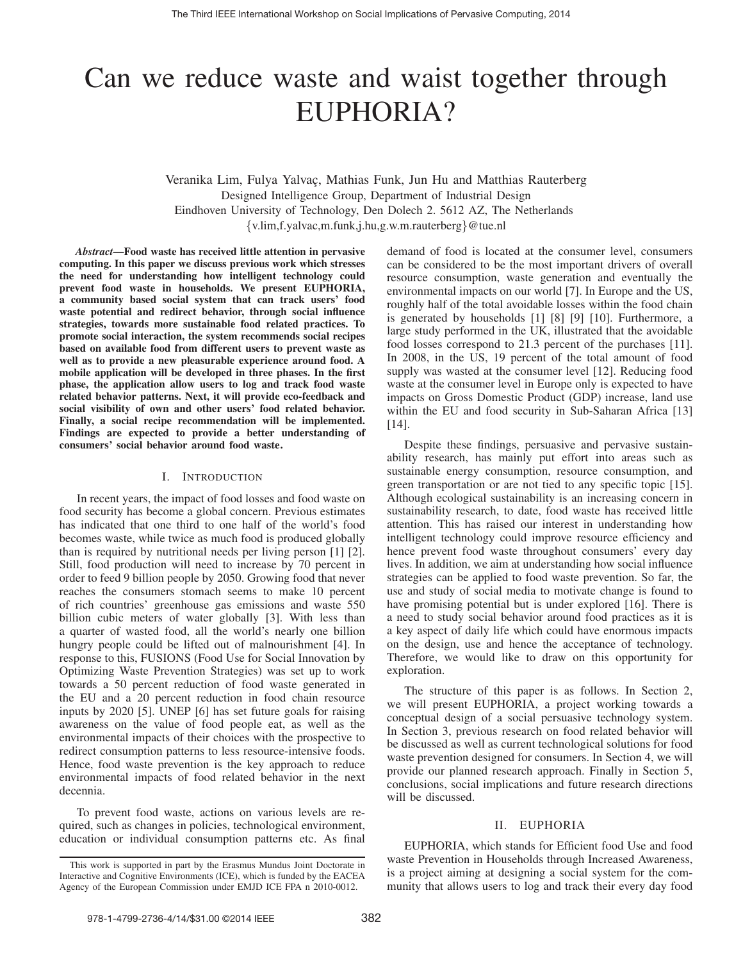# Can we reduce waste and waist together through EUPHORIA?

Veranika Lim, Fulya Yalvac¸, Mathias Funk, Jun Hu and Matthias Rauterberg Designed Intelligence Group, Department of Industrial Design Eindhoven University of Technology, Den Dolech 2. 5612 AZ, The Netherlands {v.lim,f.yalvac,m.funk,j.hu,g.w.m.rauterberg}@tue.nl

*Abstract*—Food waste has received little attention in pervasive computing. In this paper we discuss previous work which stresses the need for understanding how intelligent technology could prevent food waste in households. We present EUPHORIA, a community based social system that can track users' food waste potential and redirect behavior, through social influence strategies, towards more sustainable food related practices. To promote social interaction, the system recommends social recipes based on available food from different users to prevent waste as well as to provide a new pleasurable experience around food. A mobile application will be developed in three phases. In the first phase, the application allow users to log and track food waste related behavior patterns. Next, it will provide eco-feedback and social visibility of own and other users' food related behavior. Finally, a social recipe recommendation will be implemented. Findings are expected to provide a better understanding of consumers' social behavior around food waste.

## I. INTRODUCTION

In recent years, the impact of food losses and food waste on food security has become a global concern. Previous estimates has indicated that one third to one half of the world's food becomes waste, while twice as much food is produced globally than is required by nutritional needs per living person [1] [2]. Still, food production will need to increase by 70 percent in order to feed 9 billion people by 2050. Growing food that never reaches the consumers stomach seems to make 10 percent of rich countries' greenhouse gas emissions and waste 550 billion cubic meters of water globally [3]. With less than a quarter of wasted food, all the world's nearly one billion hungry people could be lifted out of malnourishment [4]. In response to this, FUSIONS (Food Use for Social Innovation by Optimizing Waste Prevention Strategies) was set up to work towards a 50 percent reduction of food waste generated in the EU and a 20 percent reduction in food chain resource inputs by 2020 [5]. UNEP [6] has set future goals for raising awareness on the value of food people eat, as well as the environmental impacts of their choices with the prospective to redirect consumption patterns to less resource-intensive foods. Hence, food waste prevention is the key approach to reduce environmental impacts of food related behavior in the next decennia.

To prevent food waste, actions on various levels are required, such as changes in policies, technological environment, education or individual consumption patterns etc. As final demand of food is located at the consumer level, consumers can be considered to be the most important drivers of overall resource consumption, waste generation and eventually the environmental impacts on our world [7]. In Europe and the US, roughly half of the total avoidable losses within the food chain is generated by households [1] [8] [9] [10]. Furthermore, a large study performed in the UK, illustrated that the avoidable food losses correspond to 21.3 percent of the purchases [11]. In 2008, in the US, 19 percent of the total amount of food supply was wasted at the consumer level [12]. Reducing food waste at the consumer level in Europe only is expected to have impacts on Gross Domestic Product (GDP) increase, land use within the EU and food security in Sub-Saharan Africa [13] [14].

Despite these findings, persuasive and pervasive sustainability research, has mainly put effort into areas such as sustainable energy consumption, resource consumption, and green transportation or are not tied to any specific topic [15]. Although ecological sustainability is an increasing concern in sustainability research, to date, food waste has received little attention. This has raised our interest in understanding how intelligent technology could improve resource efficiency and hence prevent food waste throughout consumers' every day lives. In addition, we aim at understanding how social influence strategies can be applied to food waste prevention. So far, the use and study of social media to motivate change is found to have promising potential but is under explored [16]. There is a need to study social behavior around food practices as it is a key aspect of daily life which could have enormous impacts on the design, use and hence the acceptance of technology. Therefore, we would like to draw on this opportunity for exploration.

The structure of this paper is as follows. In Section 2, we will present EUPHORIA, a project working towards a conceptual design of a social persuasive technology system. In Section 3, previous research on food related behavior will be discussed as well as current technological solutions for food waste prevention designed for consumers. In Section 4, we will provide our planned research approach. Finally in Section 5, conclusions, social implications and future research directions will be discussed.

#### II. EUPHORIA

EUPHORIA, which stands for Efficient food Use and food waste Prevention in Households through Increased Awareness, is a project aiming at designing a social system for the community that allows users to log and track their every day food

This work is supported in part by the Erasmus Mundus Joint Doctorate in Interactive and Cognitive Environments (ICE), which is funded by the EACEA Agency of the European Commission under EMJD ICE FPA n 2010-0012.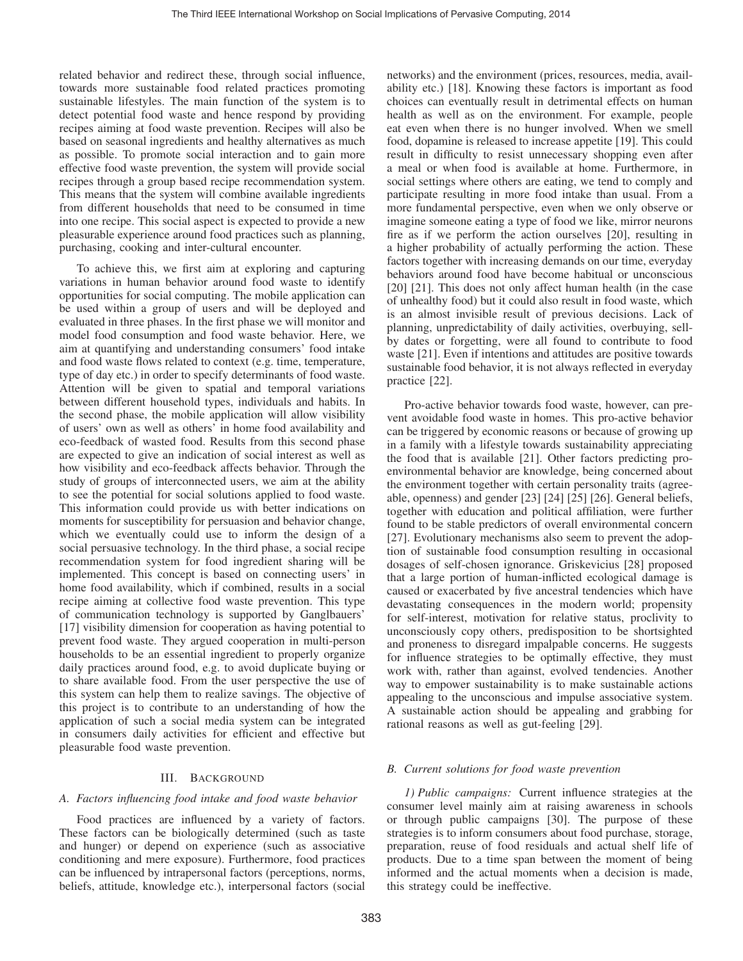related behavior and redirect these, through social influence, towards more sustainable food related practices promoting sustainable lifestyles. The main function of the system is to detect potential food waste and hence respond by providing recipes aiming at food waste prevention. Recipes will also be based on seasonal ingredients and healthy alternatives as much as possible. To promote social interaction and to gain more effective food waste prevention, the system will provide social recipes through a group based recipe recommendation system. This means that the system will combine available ingredients from different households that need to be consumed in time into one recipe. This social aspect is expected to provide a new pleasurable experience around food practices such as planning, purchasing, cooking and inter-cultural encounter.

To achieve this, we first aim at exploring and capturing variations in human behavior around food waste to identify opportunities for social computing. The mobile application can be used within a group of users and will be deployed and evaluated in three phases. In the first phase we will monitor and model food consumption and food waste behavior. Here, we aim at quantifying and understanding consumers' food intake and food waste flows related to context (e.g. time, temperature, type of day etc.) in order to specify determinants of food waste. Attention will be given to spatial and temporal variations between different household types, individuals and habits. In the second phase, the mobile application will allow visibility of users' own as well as others' in home food availability and eco-feedback of wasted food. Results from this second phase are expected to give an indication of social interest as well as how visibility and eco-feedback affects behavior. Through the study of groups of interconnected users, we aim at the ability to see the potential for social solutions applied to food waste. This information could provide us with better indications on moments for susceptibility for persuasion and behavior change, which we eventually could use to inform the design of a social persuasive technology. In the third phase, a social recipe recommendation system for food ingredient sharing will be implemented. This concept is based on connecting users' in home food availability, which if combined, results in a social recipe aiming at collective food waste prevention. This type of communication technology is supported by Ganglbauers' [17] visibility dimension for cooperation as having potential to prevent food waste. They argued cooperation in multi-person households to be an essential ingredient to properly organize daily practices around food, e.g. to avoid duplicate buying or to share available food. From the user perspective the use of this system can help them to realize savings. The objective of this project is to contribute to an understanding of how the application of such a social media system can be integrated in consumers daily activities for efficient and effective but pleasurable food waste prevention.

# III. BACKGROUND

#### *A. Factors influencing food intake and food waste behavior*

Food practices are influenced by a variety of factors. These factors can be biologically determined (such as taste and hunger) or depend on experience (such as associative conditioning and mere exposure). Furthermore, food practices can be influenced by intrapersonal factors (perceptions, norms, beliefs, attitude, knowledge etc.), interpersonal factors (social networks) and the environment (prices, resources, media, availability etc.) [18]. Knowing these factors is important as food choices can eventually result in detrimental effects on human health as well as on the environment. For example, people eat even when there is no hunger involved. When we smell food, dopamine is released to increase appetite [19]. This could result in difficulty to resist unnecessary shopping even after a meal or when food is available at home. Furthermore, in social settings where others are eating, we tend to comply and participate resulting in more food intake than usual. From a more fundamental perspective, even when we only observe or imagine someone eating a type of food we like, mirror neurons fire as if we perform the action ourselves [20], resulting in a higher probability of actually performing the action. These factors together with increasing demands on our time, everyday behaviors around food have become habitual or unconscious [20] [21]. This does not only affect human health (in the case of unhealthy food) but it could also result in food waste, which is an almost invisible result of previous decisions. Lack of planning, unpredictability of daily activities, overbuying, sellby dates or forgetting, were all found to contribute to food waste [21]. Even if intentions and attitudes are positive towards sustainable food behavior, it is not always reflected in everyday practice [22].

Pro-active behavior towards food waste, however, can prevent avoidable food waste in homes. This pro-active behavior can be triggered by economic reasons or because of growing up in a family with a lifestyle towards sustainability appreciating the food that is available [21]. Other factors predicting proenvironmental behavior are knowledge, being concerned about the environment together with certain personality traits (agreeable, openness) and gender [23] [24] [25] [26]. General beliefs, together with education and political affiliation, were further found to be stable predictors of overall environmental concern [27]. Evolutionary mechanisms also seem to prevent the adoption of sustainable food consumption resulting in occasional dosages of self-chosen ignorance. Griskevicius [28] proposed that a large portion of human-inflicted ecological damage is caused or exacerbated by five ancestral tendencies which have devastating consequences in the modern world; propensity for self-interest, motivation for relative status, proclivity to unconsciously copy others, predisposition to be shortsighted and proneness to disregard impalpable concerns. He suggests for influence strategies to be optimally effective, they must work with, rather than against, evolved tendencies. Another way to empower sustainability is to make sustainable actions appealing to the unconscious and impulse associative system. A sustainable action should be appealing and grabbing for rational reasons as well as gut-feeling [29].

# *B. Current solutions for food waste prevention*

*1) Public campaigns:* Current influence strategies at the consumer level mainly aim at raising awareness in schools or through public campaigns [30]. The purpose of these strategies is to inform consumers about food purchase, storage, preparation, reuse of food residuals and actual shelf life of products. Due to a time span between the moment of being informed and the actual moments when a decision is made, this strategy could be ineffective.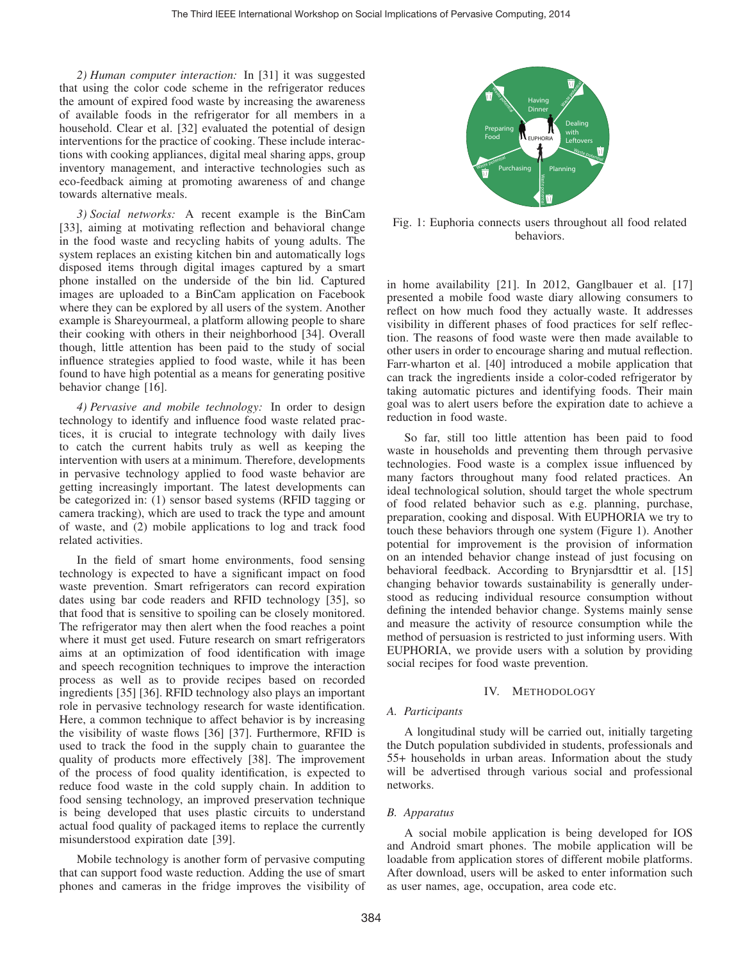*2) Human computer interaction:* In [31] it was suggested that using the color code scheme in the refrigerator reduces the amount of expired food waste by increasing the awareness of available foods in the refrigerator for all members in a household. Clear et al. [32] evaluated the potential of design interventions for the practice of cooking. These include interactions with cooking appliances, digital meal sharing apps, group inventory management, and interactive technologies such as eco-feedback aiming at promoting awareness of and change towards alternative meals.

*3) Social networks:* A recent example is the BinCam [33], aiming at motivating reflection and behavioral change in the food waste and recycling habits of young adults. The system replaces an existing kitchen bin and automatically logs disposed items through digital images captured by a smart phone installed on the underside of the bin lid. Captured images are uploaded to a BinCam application on Facebook where they can be explored by all users of the system. Another example is Shareyourmeal, a platform allowing people to share their cooking with others in their neighborhood [34]. Overall though, little attention has been paid to the study of social influence strategies applied to food waste, while it has been found to have high potential as a means for generating positive behavior change [16].

*4) Pervasive and mobile technology:* In order to design technology to identify and influence food waste related practices, it is crucial to integrate technology with daily lives to catch the current habits truly as well as keeping the intervention with users at a minimum. Therefore, developments in pervasive technology applied to food waste behavior are getting increasingly important. The latest developments can be categorized in: (1) sensor based systems (RFID tagging or camera tracking), which are used to track the type and amount of waste, and (2) mobile applications to log and track food related activities.

In the field of smart home environments, food sensing technology is expected to have a significant impact on food waste prevention. Smart refrigerators can record expiration dates using bar code readers and RFID technology [35], so that food that is sensitive to spoiling can be closely monitored. The refrigerator may then alert when the food reaches a point where it must get used. Future research on smart refrigerators aims at an optimization of food identification with image and speech recognition techniques to improve the interaction process as well as to provide recipes based on recorded ingredients [35] [36]. RFID technology also plays an important role in pervasive technology research for waste identification. Here, a common technique to affect behavior is by increasing the visibility of waste flows [36] [37]. Furthermore, RFID is used to track the food in the supply chain to guarantee the quality of products more effectively [38]. The improvement of the process of food quality identification, is expected to reduce food waste in the cold supply chain. In addition to food sensing technology, an improved preservation technique is being developed that uses plastic circuits to understand actual food quality of packaged items to replace the currently misunderstood expiration date [39].

Mobile technology is another form of pervasive computing that can support food waste reduction. Adding the use of smart phones and cameras in the fridge improves the visibility of



Fig. 1: Euphoria connects users throughout all food related behaviors.

in home availability [21]. In 2012, Ganglbauer et al. [17] presented a mobile food waste diary allowing consumers to reflect on how much food they actually waste. It addresses visibility in different phases of food practices for self reflection. The reasons of food waste were then made available to other users in order to encourage sharing and mutual reflection. Farr-wharton et al. [40] introduced a mobile application that can track the ingredients inside a color-coded refrigerator by taking automatic pictures and identifying foods. Their main goal was to alert users before the expiration date to achieve a reduction in food waste.

So far, still too little attention has been paid to food waste in households and preventing them through pervasive technologies. Food waste is a complex issue influenced by many factors throughout many food related practices. An ideal technological solution, should target the whole spectrum of food related behavior such as e.g. planning, purchase, preparation, cooking and disposal. With EUPHORIA we try to touch these behaviors through one system (Figure 1). Another potential for improvement is the provision of information on an intended behavior change instead of just focusing on behavioral feedback. According to Brynjarsdttir et al. [15] changing behavior towards sustainability is generally understood as reducing individual resource consumption without defining the intended behavior change. Systems mainly sense and measure the activity of resource consumption while the method of persuasion is restricted to just informing users. With EUPHORIA, we provide users with a solution by providing social recipes for food waste prevention.

# IV. METHODOLOGY

### *A. Participants*

A longitudinal study will be carried out, initially targeting the Dutch population subdivided in students, professionals and 55+ households in urban areas. Information about the study will be advertised through various social and professional networks.

# *B. Apparatus*

A social mobile application is being developed for IOS and Android smart phones. The mobile application will be loadable from application stores of different mobile platforms. After download, users will be asked to enter information such as user names, age, occupation, area code etc.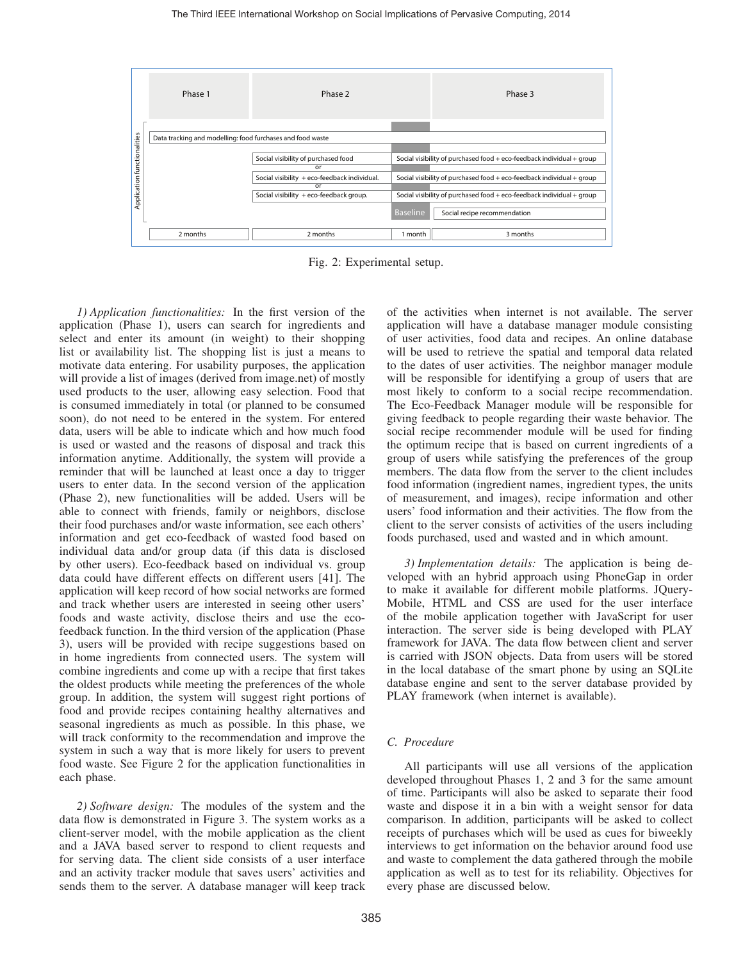

Fig. 2: Experimental setup.

*1) Application functionalities:* In the first version of the application (Phase 1), users can search for ingredients and select and enter its amount (in weight) to their shopping list or availability list. The shopping list is just a means to motivate data entering. For usability purposes, the application will provide a list of images (derived from image.net) of mostly used products to the user, allowing easy selection. Food that is consumed immediately in total (or planned to be consumed soon), do not need to be entered in the system. For entered data, users will be able to indicate which and how much food is used or wasted and the reasons of disposal and track this information anytime. Additionally, the system will provide a reminder that will be launched at least once a day to trigger users to enter data. In the second version of the application (Phase 2), new functionalities will be added. Users will be able to connect with friends, family or neighbors, disclose their food purchases and/or waste information, see each others' information and get eco-feedback of wasted food based on individual data and/or group data (if this data is disclosed by other users). Eco-feedback based on individual vs. group data could have different effects on different users [41]. The application will keep record of how social networks are formed and track whether users are interested in seeing other users' foods and waste activity, disclose theirs and use the ecofeedback function. In the third version of the application (Phase 3), users will be provided with recipe suggestions based on in home ingredients from connected users. The system will combine ingredients and come up with a recipe that first takes the oldest products while meeting the preferences of the whole group. In addition, the system will suggest right portions of food and provide recipes containing healthy alternatives and seasonal ingredients as much as possible. In this phase, we will track conformity to the recommendation and improve the system in such a way that is more likely for users to prevent food waste. See Figure 2 for the application functionalities in each phase.

*2) Software design:* The modules of the system and the data flow is demonstrated in Figure 3. The system works as a client-server model, with the mobile application as the client and a JAVA based server to respond to client requests and for serving data. The client side consists of a user interface and an activity tracker module that saves users' activities and sends them to the server. A database manager will keep track of the activities when internet is not available. The server application will have a database manager module consisting of user activities, food data and recipes. An online database will be used to retrieve the spatial and temporal data related to the dates of user activities. The neighbor manager module will be responsible for identifying a group of users that are most likely to conform to a social recipe recommendation. The Eco-Feedback Manager module will be responsible for giving feedback to people regarding their waste behavior. The social recipe recommender module will be used for finding the optimum recipe that is based on current ingredients of a group of users while satisfying the preferences of the group members. The data flow from the server to the client includes food information (ingredient names, ingredient types, the units of measurement, and images), recipe information and other users' food information and their activities. The flow from the client to the server consists of activities of the users including foods purchased, used and wasted and in which amount.

*3) Implementation details:* The application is being developed with an hybrid approach using PhoneGap in order to make it available for different mobile platforms. JQuery-Mobile, HTML and CSS are used for the user interface of the mobile application together with JavaScript for user interaction. The server side is being developed with PLAY framework for JAVA. The data flow between client and server is carried with JSON objects. Data from users will be stored in the local database of the smart phone by using an SQLite database engine and sent to the server database provided by PLAY framework (when internet is available).

# *C. Procedure*

All participants will use all versions of the application developed throughout Phases 1, 2 and 3 for the same amount of time. Participants will also be asked to separate their food waste and dispose it in a bin with a weight sensor for data comparison. In addition, participants will be asked to collect receipts of purchases which will be used as cues for biweekly interviews to get information on the behavior around food use and waste to complement the data gathered through the mobile application as well as to test for its reliability. Objectives for every phase are discussed below.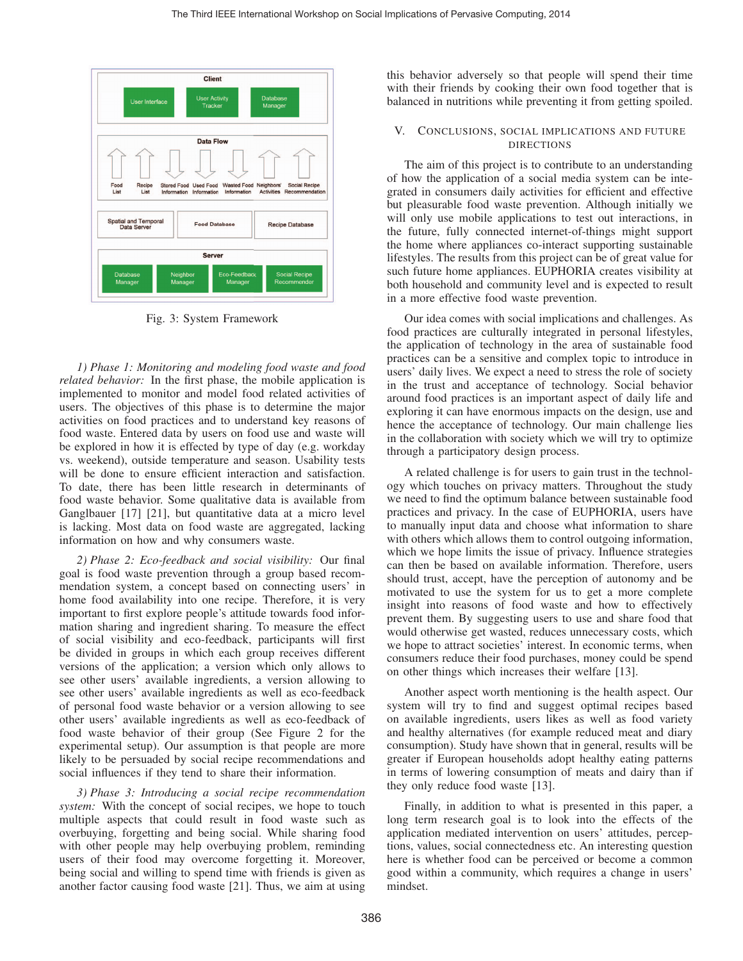

Fig. 3: System Framework

*1) Phase 1: Monitoring and modeling food waste and food related behavior:* In the first phase, the mobile application is implemented to monitor and model food related activities of users. The objectives of this phase is to determine the major activities on food practices and to understand key reasons of food waste. Entered data by users on food use and waste will be explored in how it is effected by type of day (e.g. workday vs. weekend), outside temperature and season. Usability tests will be done to ensure efficient interaction and satisfaction. To date, there has been little research in determinants of food waste behavior. Some qualitative data is available from Ganglbauer [17] [21], but quantitative data at a micro level is lacking. Most data on food waste are aggregated, lacking information on how and why consumers waste.

*2) Phase 2: Eco-feedback and social visibility:* Our final goal is food waste prevention through a group based recommendation system, a concept based on connecting users' in home food availability into one recipe. Therefore, it is very important to first explore people's attitude towards food information sharing and ingredient sharing. To measure the effect of social visibility and eco-feedback, participants will first be divided in groups in which each group receives different versions of the application; a version which only allows to see other users' available ingredients, a version allowing to see other users' available ingredients as well as eco-feedback of personal food waste behavior or a version allowing to see other users' available ingredients as well as eco-feedback of food waste behavior of their group (See Figure 2 for the experimental setup). Our assumption is that people are more likely to be persuaded by social recipe recommendations and social influences if they tend to share their information.

*3) Phase 3: Introducing a social recipe recommendation system:* With the concept of social recipes, we hope to touch multiple aspects that could result in food waste such as overbuying, forgetting and being social. While sharing food with other people may help overbuying problem, reminding users of their food may overcome forgetting it. Moreover, being social and willing to spend time with friends is given as another factor causing food waste [21]. Thus, we aim at using this behavior adversely so that people will spend their time with their friends by cooking their own food together that is balanced in nutritions while preventing it from getting spoiled.

# CONCLUSIONS, SOCIAL IMPLICATIONS AND FUTURE DIRECTIONS

The aim of this project is to contribute to an understanding of how the application of a social media system can be integrated in consumers daily activities for efficient and effective but pleasurable food waste prevention. Although initially we will only use mobile applications to test out interactions, in the future, fully connected internet-of-things might support the home where appliances co-interact supporting sustainable lifestyles. The results from this project can be of great value for such future home appliances. EUPHORIA creates visibility at both household and community level and is expected to result in a more effective food waste prevention.

Our idea comes with social implications and challenges. As food practices are culturally integrated in personal lifestyles, the application of technology in the area of sustainable food practices can be a sensitive and complex topic to introduce in users' daily lives. We expect a need to stress the role of society in the trust and acceptance of technology. Social behavior around food practices is an important aspect of daily life and exploring it can have enormous impacts on the design, use and hence the acceptance of technology. Our main challenge lies in the collaboration with society which we will try to optimize through a participatory design process.

A related challenge is for users to gain trust in the technology which touches on privacy matters. Throughout the study we need to find the optimum balance between sustainable food practices and privacy. In the case of EUPHORIA, users have to manually input data and choose what information to share with others which allows them to control outgoing information, which we hope limits the issue of privacy. Influence strategies can then be based on available information. Therefore, users should trust, accept, have the perception of autonomy and be motivated to use the system for us to get a more complete insight into reasons of food waste and how to effectively prevent them. By suggesting users to use and share food that would otherwise get wasted, reduces unnecessary costs, which we hope to attract societies' interest. In economic terms, when consumers reduce their food purchases, money could be spend on other things which increases their welfare [13].

Another aspect worth mentioning is the health aspect. Our system will try to find and suggest optimal recipes based on available ingredients, users likes as well as food variety and healthy alternatives (for example reduced meat and diary consumption). Study have shown that in general, results will be greater if European households adopt healthy eating patterns in terms of lowering consumption of meats and dairy than if they only reduce food waste [13].

Finally, in addition to what is presented in this paper, a long term research goal is to look into the effects of the application mediated intervention on users' attitudes, perceptions, values, social connectedness etc. An interesting question here is whether food can be perceived or become a common good within a community, which requires a change in users' mindset.